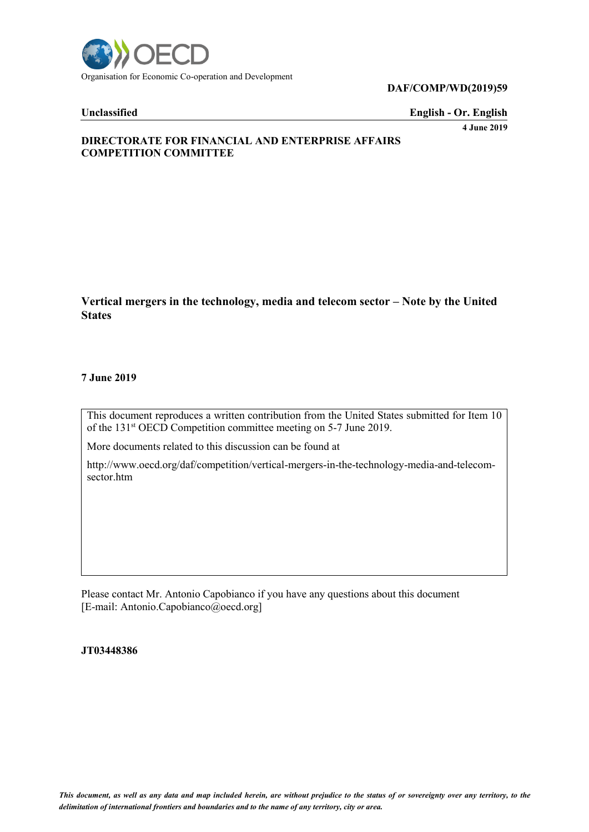

**DAF/COMP/WD(2019)59**

**Unclassified English - Or. English**

**4 June 2019**

## **DIRECTORATE FOR FINANCIAL AND ENTERPRISE AFFAIRS COMPETITION COMMITTEE**

**Vertical mergers in the technology, media and telecom sector – Note by the United States**

## **7 June 2019**

This document reproduces a written contribution from the United States submitted for Item 10 of the 131<sup>st</sup> OECD Competition committee meeting on 5-7 June 2019.

More documents related to this discussion can be found at

http://www.oecd.org/daf/competition/vertical-mergers-in-the-technology-media-and-telecomsector.htm

Please contact Mr. Antonio Capobianco if you have any questions about this document [E-mail: Antonio.Capobianco@oecd.org]

### **JT03448386**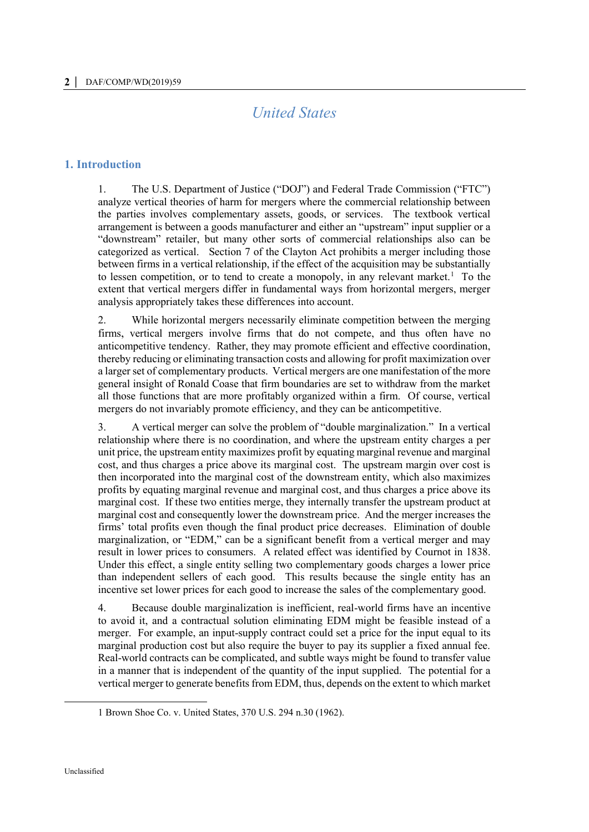# *United States*

## **1. Introduction**

1. The U.S. Department of Justice ("DOJ") and Federal Trade Commission ("FTC") analyze vertical theories of harm for mergers where the commercial relationship between the parties involves complementary assets, goods, or services. The textbook vertical arrangement is between a goods manufacturer and either an "upstream" input supplier or a "downstream" retailer, but many other sorts of commercial relationships also can be categorized as vertical. Section 7 of the Clayton Act prohibits a merger including those between firms in a vertical relationship, if the effect of the acquisition may be substantially to lessen competition, or to tend to create a monopoly, in any relevant market.<sup>1</sup> To the extent that vertical mergers differ in fundamental ways from horizontal mergers, merger analysis appropriately takes these differences into account.

2. While horizontal mergers necessarily eliminate competition between the merging firms, vertical mergers involve firms that do not compete, and thus often have no anticompetitive tendency. Rather, they may promote efficient and effective coordination, thereby reducing or eliminating transaction costs and allowing for profit maximization over a larger set of complementary products. Vertical mergers are one manifestation of the more general insight of Ronald Coase that firm boundaries are set to withdraw from the market all those functions that are more profitably organized within a firm. Of course, vertical mergers do not invariably promote efficiency, and they can be anticompetitive.

3. A vertical merger can solve the problem of "double marginalization." In a vertical relationship where there is no coordination, and where the upstream entity charges a per unit price, the upstream entity maximizes profit by equating marginal revenue and marginal cost, and thus charges a price above its marginal cost. The upstream margin over cost is then incorporated into the marginal cost of the downstream entity, which also maximizes profits by equating marginal revenue and marginal cost, and thus charges a price above its marginal cost. If these two entities merge, they internally transfer the upstream product at marginal cost and consequently lower the downstream price. And the merger increases the firms' total profits even though the final product price decreases. Elimination of double marginalization, or "EDM," can be a significant benefit from a vertical merger and may result in lower prices to consumers. A related effect was identified by Cournot in 1838. Under this effect, a single entity selling two complementary goods charges a lower price than independent sellers of each good. This results because the single entity has an incentive set lower prices for each good to increase the sales of the complementary good.

4. Because double marginalization is inefficient, real-world firms have an incentive to avoid it, and a contractual solution eliminating EDM might be feasible instead of a merger. For example, an input-supply contract could set a price for the input equal to its marginal production cost but also require the buyer to pay its supplier a fixed annual fee. Real-world contracts can be complicated, and subtle ways might be found to transfer value in a manner that is independent of the quantity of the input supplied. The potential for a vertical merger to generate benefits from EDM, thus, depends on the extent to which market

<sup>1</sup> Brown Shoe Co. v. United States, 370 U.S. 294 n.30 (1962).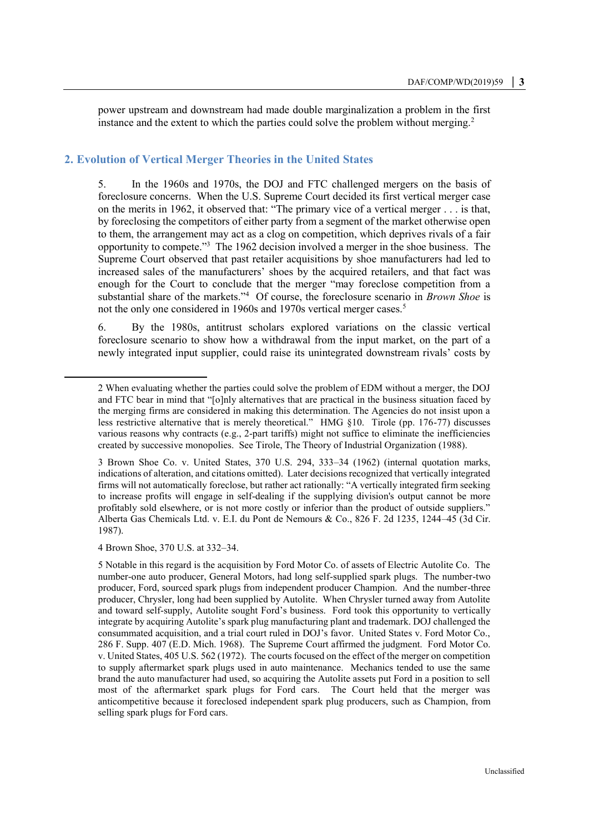power upstream and downstream had made double marginalization a problem in the first instance and the extent to which the parties could solve the problem without merging.<sup>2</sup>

## **2. Evolution of Vertical Merger Theories in the United States**

5. In the 1960s and 1970s, the DOJ and FTC challenged mergers on the basis of foreclosure concerns. When the U.S. Supreme Court decided its first vertical merger case on the merits in 1962, it observed that: "The primary vice of a vertical merger . . . is that, by foreclosing the competitors of either party from a segment of the market otherwise open to them, the arrangement may act as a clog on competition, which deprives rivals of a fair opportunity to compete."<sup>3</sup> The 1962 decision involved a merger in the shoe business. The Supreme Court observed that past retailer acquisitions by shoe manufacturers had led to increased sales of the manufacturers' shoes by the acquired retailers, and that fact was enough for the Court to conclude that the merger "may foreclose competition from a substantial share of the markets."<sup>4</sup> Of course, the foreclosure scenario in *Brown Shoe* is not the only one considered in 1960s and 1970s vertical merger cases.<sup>5</sup>

6. By the 1980s, antitrust scholars explored variations on the classic vertical foreclosure scenario to show how a withdrawal from the input market, on the part of a newly integrated input supplier, could raise its unintegrated downstream rivals' costs by

4 Brown Shoe, 370 U.S. at 332–34.

 $\ddot{ }$ 

<sup>2</sup> When evaluating whether the parties could solve the problem of EDM without a merger, the DOJ and FTC bear in mind that "[o]nly alternatives that are practical in the business situation faced by the merging firms are considered in making this determination. The Agencies do not insist upon a less restrictive alternative that is merely theoretical." HMG §10. Tirole (pp. 176-77) discusses various reasons why contracts (e.g., 2-part tariffs) might not suffice to eliminate the inefficiencies created by successive monopolies. See Tirole, The Theory of Industrial Organization (1988).

<sup>3</sup> Brown Shoe Co. v. United States, 370 U.S. 294, 333–34 (1962) (internal quotation marks, indications of alteration, and citations omitted). Later decisions recognized that vertically integrated firms will not automatically foreclose, but rather act rationally: "A vertically integrated firm seeking to increase profits will engage in self-dealing if the supplying division's output cannot be more profitably sold elsewhere, or is not more costly or inferior than the product of outside suppliers." Alberta Gas Chemicals Ltd. v. E.I. du Pont de Nemours & Co., 826 F. 2d 1235, 1244–45 (3d Cir. 1987).

<sup>5</sup> Notable in this regard is the acquisition by Ford Motor Co. of assets of Electric Autolite Co. The number-one auto producer, General Motors, had long self-supplied spark plugs. The number-two producer, Ford, sourced spark plugs from independent producer Champion. And the number-three producer, Chrysler, long had been supplied by Autolite. When Chrysler turned away from Autolite and toward self-supply, Autolite sought Ford's business. Ford took this opportunity to vertically integrate by acquiring Autolite's spark plug manufacturing plant and trademark. DOJ challenged the consummated acquisition, and a trial court ruled in DOJ's favor. United States v. Ford Motor Co., 286 F. Supp. 407 (E.D. Mich. 1968). The Supreme Court affirmed the judgment. Ford Motor Co. v. United States, 405 U.S. 562 (1972). The courts focused on the effect of the merger on competition to supply aftermarket spark plugs used in auto maintenance. Mechanics tended to use the same brand the auto manufacturer had used, so acquiring the Autolite assets put Ford in a position to sell most of the aftermarket spark plugs for Ford cars. The Court held that the merger was anticompetitive because it foreclosed independent spark plug producers, such as Champion, from selling spark plugs for Ford cars.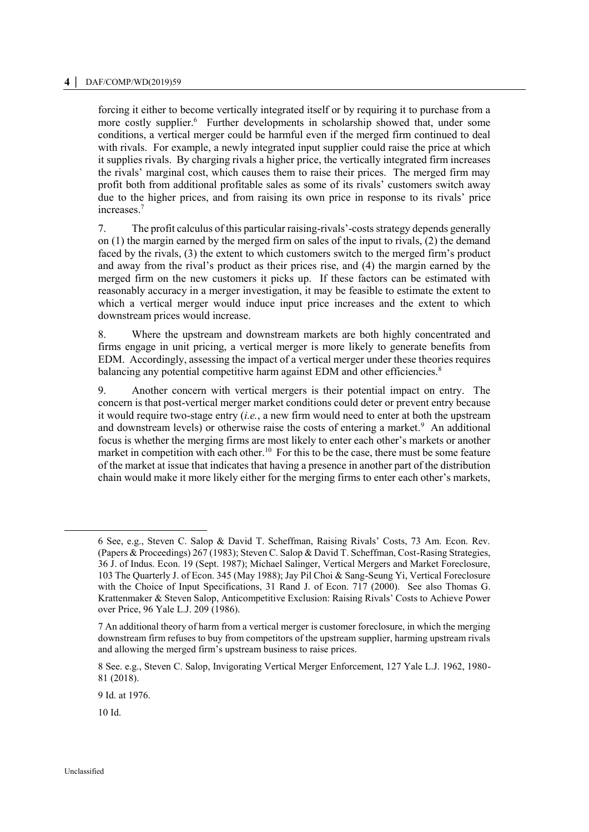## **4 │** DAF/COMP/WD(2019)59

forcing it either to become vertically integrated itself or by requiring it to purchase from a more costly supplier.<sup>6</sup> Further developments in scholarship showed that, under some conditions, a vertical merger could be harmful even if the merged firm continued to deal with rivals. For example, a newly integrated input supplier could raise the price at which it supplies rivals. By charging rivals a higher price, the vertically integrated firm increases the rivals' marginal cost, which causes them to raise their prices. The merged firm may profit both from additional profitable sales as some of its rivals' customers switch away due to the higher prices, and from raising its own price in response to its rivals' price increases.<sup>7</sup>

7. The profit calculus of this particular raising-rivals'-costs strategy depends generally on (1) the margin earned by the merged firm on sales of the input to rivals, (2) the demand faced by the rivals, (3) the extent to which customers switch to the merged firm's product and away from the rival's product as their prices rise, and (4) the margin earned by the merged firm on the new customers it picks up. If these factors can be estimated with reasonably accuracy in a merger investigation, it may be feasible to estimate the extent to which a vertical merger would induce input price increases and the extent to which downstream prices would increase.

8. Where the upstream and downstream markets are both highly concentrated and firms engage in unit pricing, a vertical merger is more likely to generate benefits from EDM. Accordingly, assessing the impact of a vertical merger under these theories requires balancing any potential competitive harm against EDM and other efficiencies.<sup>8</sup>

9. Another concern with vertical mergers is their potential impact on entry. The concern is that post-vertical merger market conditions could deter or prevent entry because it would require two-stage entry (*i.e.*, a new firm would need to enter at both the upstream and downstream levels) or otherwise raise the costs of entering a market.<sup>9</sup> An additional focus is whether the merging firms are most likely to enter each other's markets or another market in competition with each other.<sup>10</sup> For this to be the case, there must be some feature of the market at issue that indicates that having a presence in another part of the distribution chain would make it more likely either for the merging firms to enter each other's markets,

10 Id.

 $\overline{a}$ 

<sup>6</sup> See, e.g., Steven C. Salop & David T. Scheffman, Raising Rivals' Costs, 73 Am. Econ. Rev. (Papers & Proceedings) 267 (1983); Steven C. Salop & David T. Scheffman, Cost-Rasing Strategies, 36 J. of Indus. Econ. 19 (Sept. 1987); Michael Salinger, Vertical Mergers and Market Foreclosure, 103 The Quarterly J. of Econ. 345 (May 1988); Jay Pil Choi & Sang-Seung Yi, Vertical Foreclosure with the Choice of Input Specifications, 31 Rand J. of Econ. 717 (2000). See also Thomas G. Krattenmaker & Steven Salop, Anticompetitive Exclusion: Raising Rivals' Costs to Achieve Power over Price, 96 Yale L.J. 209 (1986).

<sup>7</sup> An additional theory of harm from a vertical merger is customer foreclosure, in which the merging downstream firm refuses to buy from competitors of the upstream supplier, harming upstream rivals and allowing the merged firm's upstream business to raise prices.

<sup>8</sup> See. e.g., Steven C. Salop, Invigorating Vertical Merger Enforcement, 127 Yale L.J. 1962, 1980- 81 (2018).

<sup>9</sup> Id. at 1976.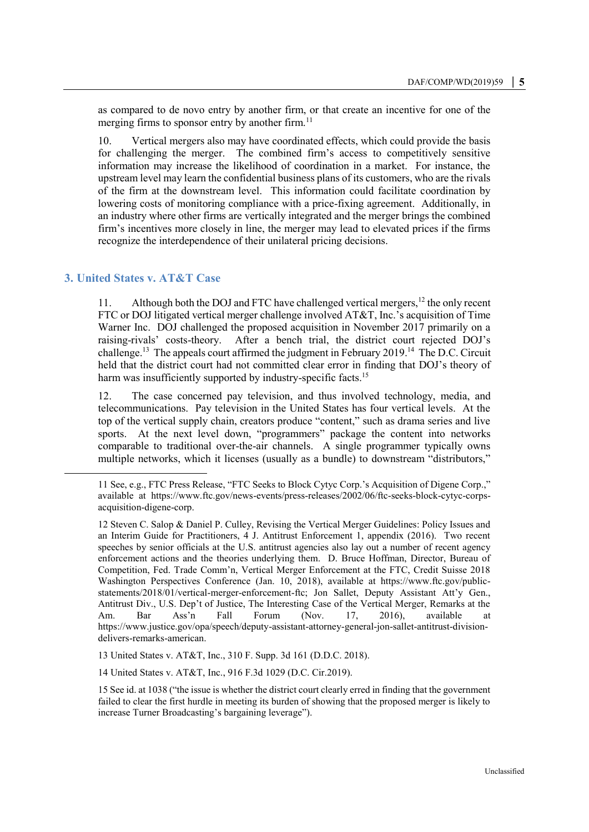as compared to de novo entry by another firm, or that create an incentive for one of the merging firms to sponsor entry by another firm.<sup>11</sup>

10. Vertical mergers also may have coordinated effects, which could provide the basis for challenging the merger. The combined firm's access to competitively sensitive information may increase the likelihood of coordination in a market. For instance, the upstream level may learn the confidential business plans of its customers, who are the rivals of the firm at the downstream level. This information could facilitate coordination by lowering costs of monitoring compliance with a price-fixing agreement. Additionally, in an industry where other firms are vertically integrated and the merger brings the combined firm's incentives more closely in line, the merger may lead to elevated prices if the firms recognize the interdependence of their unilateral pricing decisions.

# **3. United States v. AT&T Case**

 $\ddot{ }$ 

11. Although both the DOJ and FTC have challenged vertical mergers,  $12$  the only recent FTC or DOJ litigated vertical merger challenge involved AT&T, Inc.'s acquisition of Time Warner Inc. DOJ challenged the proposed acquisition in November 2017 primarily on a raising-rivals' costs-theory. After a bench trial, the district court rejected DOJ's challenge.<sup>13</sup> The appeals court affirmed the judgment in February 2019.<sup>14</sup> The D.C. Circuit held that the district court had not committed clear error in finding that DOJ's theory of harm was insufficiently supported by industry-specific facts.<sup>15</sup>

12. The case concerned pay television, and thus involved technology, media, and telecommunications. Pay television in the United States has four vertical levels. At the top of the vertical supply chain, creators produce "content," such as drama series and live sports. At the next level down, "programmers" package the content into networks comparable to traditional over-the-air channels. A single programmer typically owns multiple networks, which it licenses (usually as a bundle) to downstream "distributors,"

<sup>11</sup> See, e.g., FTC Press Release, "FTC Seeks to Block Cytyc Corp.'s Acquisition of Digene Corp.," available at https://www.ftc.gov/news-events/press-releases/2002/06/ftc-seeks-block-cytyc-corpsacquisition-digene-corp.

<sup>12</sup> Steven C. Salop & Daniel P. Culley, Revising the Vertical Merger Guidelines: Policy Issues and an Interim Guide for Practitioners, 4 J. Antitrust Enforcement 1, appendix (2016). Two recent speeches by senior officials at the U.S. antitrust agencies also lay out a number of recent agency enforcement actions and the theories underlying them. D. Bruce Hoffman, Director, Bureau of Competition, Fed. Trade Comm'n, Vertical Merger Enforcement at the FTC, Credit Suisse 2018 Washington Perspectives Conference (Jan. 10, 2018), available at https://www.ftc.gov/publicstatements/2018/01/vertical-merger-enforcement-ftc; Jon Sallet, Deputy Assistant Att'y Gen., Antitrust Div., U.S. Dep't of Justice, The Interesting Case of the Vertical Merger, Remarks at the Am. Bar Ass'n Fall Forum (Nov. 17, 2016), available at https://www.justice.gov/opa/speech/deputy-assistant-attorney-general-jon-sallet-antitrust-divisiondelivers-remarks-american.

<sup>13</sup> United States v. AT&T, Inc., 310 F. Supp. 3d 161 (D.D.C. 2018).

<sup>14</sup> United States v. AT&T, Inc., 916 F.3d 1029 (D.C. Cir.2019).

<sup>15</sup> See id. at 1038 ("the issue is whether the district court clearly erred in finding that the government failed to clear the first hurdle in meeting its burden of showing that the proposed merger is likely to increase Turner Broadcasting's bargaining leverage").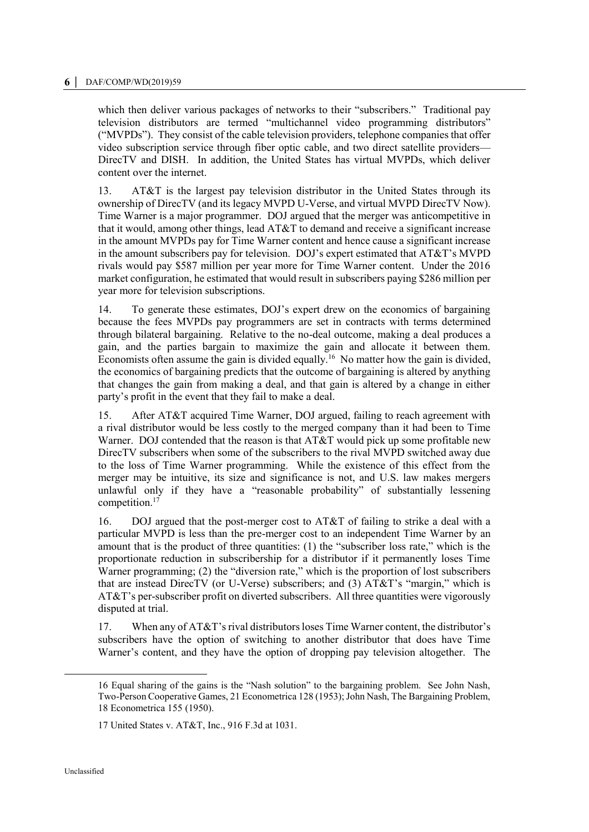which then deliver various packages of networks to their "subscribers." Traditional pay television distributors are termed "multichannel video programming distributors" ("MVPDs"). They consist of the cable television providers, telephone companies that offer video subscription service through fiber optic cable, and two direct satellite providers— DirecTV and DISH. In addition, the United States has virtual MVPDs, which deliver content over the internet.

13. AT&T is the largest pay television distributor in the United States through its ownership of DirecTV (and its legacy MVPD U-Verse, and virtual MVPD DirecTV Now). Time Warner is a major programmer. DOJ argued that the merger was anticompetitive in that it would, among other things, lead AT&T to demand and receive a significant increase in the amount MVPDs pay for Time Warner content and hence cause a significant increase in the amount subscribers pay for television. DOJ's expert estimated that AT&T's MVPD rivals would pay \$587 million per year more for Time Warner content. Under the 2016 market configuration, he estimated that would result in subscribers paying \$286 million per year more for television subscriptions.

14. To generate these estimates, DOJ's expert drew on the economics of bargaining because the fees MVPDs pay programmers are set in contracts with terms determined through bilateral bargaining. Relative to the no-deal outcome, making a deal produces a gain, and the parties bargain to maximize the gain and allocate it between them. Economists often assume the gain is divided equally.<sup>16</sup> No matter how the gain is divided, the economics of bargaining predicts that the outcome of bargaining is altered by anything that changes the gain from making a deal, and that gain is altered by a change in either party's profit in the event that they fail to make a deal.

15. After AT&T acquired Time Warner, DOJ argued, failing to reach agreement with a rival distributor would be less costly to the merged company than it had been to Time Warner. DOJ contended that the reason is that AT&T would pick up some profitable new DirecTV subscribers when some of the subscribers to the rival MVPD switched away due to the loss of Time Warner programming. While the existence of this effect from the merger may be intuitive, its size and significance is not, and U.S. law makes mergers unlawful only if they have a "reasonable probability" of substantially lessening competition.<sup>17</sup>

16. DOJ argued that the post-merger cost to AT&T of failing to strike a deal with a particular MVPD is less than the pre-merger cost to an independent Time Warner by an amount that is the product of three quantities: (1) the "subscriber loss rate," which is the proportionate reduction in subscribership for a distributor if it permanently loses Time Warner programming; (2) the "diversion rate," which is the proportion of lost subscribers that are instead DirecTV (or U-Verse) subscribers; and (3) AT&T's "margin," which is AT&T's per-subscriber profit on diverted subscribers. All three quantities were vigorously disputed at trial.

17. When any of AT&T's rival distributors loses Time Warner content, the distributor's subscribers have the option of switching to another distributor that does have Time Warner's content, and they have the option of dropping pay television altogether. The

 $\overline{a}$ 

<sup>16</sup> Equal sharing of the gains is the "Nash solution" to the bargaining problem. See John Nash, Two-Person Cooperative Games, 21 Econometrica 128 (1953); John Nash, The Bargaining Problem, 18 Econometrica 155 (1950).

<sup>17</sup> United States v. AT&T, Inc., 916 F.3d at 1031.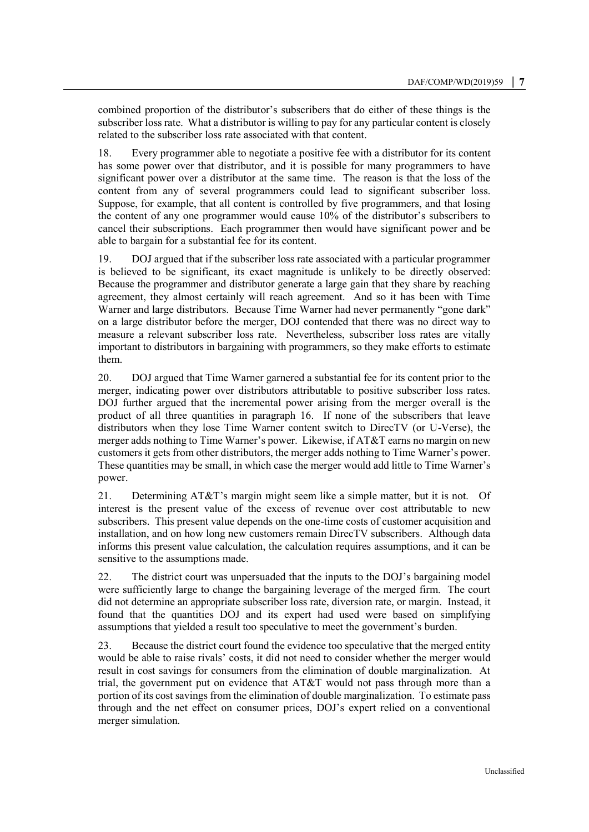combined proportion of the distributor's subscribers that do either of these things is the subscriber loss rate. What a distributor is willing to pay for any particular content is closely related to the subscriber loss rate associated with that content.

18. Every programmer able to negotiate a positive fee with a distributor for its content has some power over that distributor, and it is possible for many programmers to have significant power over a distributor at the same time. The reason is that the loss of the content from any of several programmers could lead to significant subscriber loss. Suppose, for example, that all content is controlled by five programmers, and that losing the content of any one programmer would cause 10% of the distributor's subscribers to cancel their subscriptions. Each programmer then would have significant power and be able to bargain for a substantial fee for its content.

19. DOJ argued that if the subscriber loss rate associated with a particular programmer is believed to be significant, its exact magnitude is unlikely to be directly observed: Because the programmer and distributor generate a large gain that they share by reaching agreement, they almost certainly will reach agreement. And so it has been with Time Warner and large distributors. Because Time Warner had never permanently "gone dark" on a large distributor before the merger, DOJ contended that there was no direct way to measure a relevant subscriber loss rate. Nevertheless, subscriber loss rates are vitally important to distributors in bargaining with programmers, so they make efforts to estimate them.

20. DOJ argued that Time Warner garnered a substantial fee for its content prior to the merger, indicating power over distributors attributable to positive subscriber loss rates. DOJ further argued that the incremental power arising from the merger overall is the product of all three quantities in paragraph 16. If none of the subscribers that leave distributors when they lose Time Warner content switch to DirecTV (or U-Verse), the merger adds nothing to Time Warner's power. Likewise, if AT&T earns no margin on new customers it gets from other distributors, the merger adds nothing to Time Warner's power. These quantities may be small, in which case the merger would add little to Time Warner's power.

21. Determining AT&T's margin might seem like a simple matter, but it is not. Of interest is the present value of the excess of revenue over cost attributable to new subscribers. This present value depends on the one-time costs of customer acquisition and installation, and on how long new customers remain DirecTV subscribers. Although data informs this present value calculation, the calculation requires assumptions, and it can be sensitive to the assumptions made.

22. The district court was unpersuaded that the inputs to the DOJ's bargaining model were sufficiently large to change the bargaining leverage of the merged firm. The court did not determine an appropriate subscriber loss rate, diversion rate, or margin. Instead, it found that the quantities DOJ and its expert had used were based on simplifying assumptions that yielded a result too speculative to meet the government's burden.

23. Because the district court found the evidence too speculative that the merged entity would be able to raise rivals' costs, it did not need to consider whether the merger would result in cost savings for consumers from the elimination of double marginalization. At trial, the government put on evidence that AT&T would not pass through more than a portion of its cost savings from the elimination of double marginalization. To estimate pass through and the net effect on consumer prices, DOJ's expert relied on a conventional merger simulation.